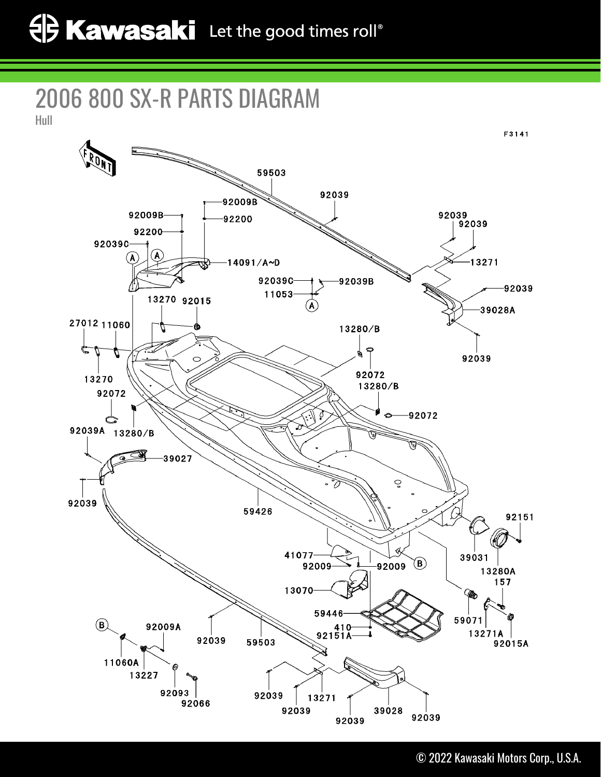## 2006 800 SX-R PARTS DIAGRAM

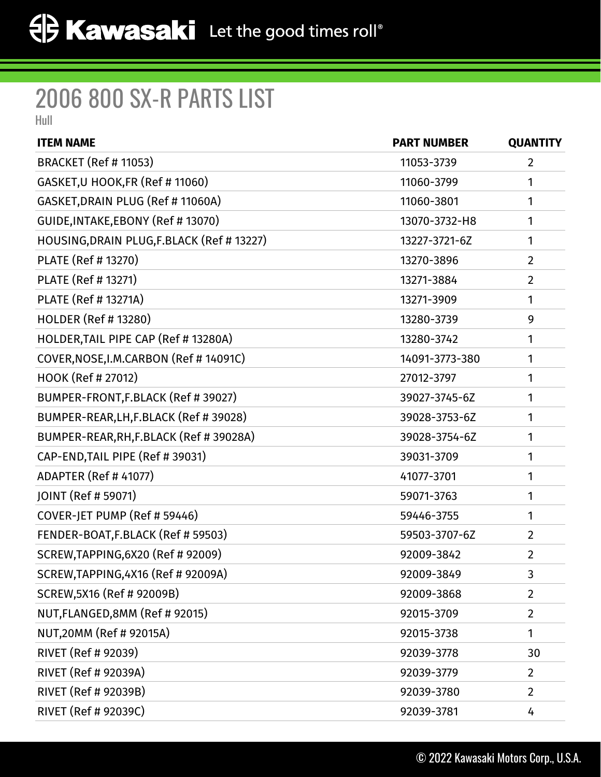## 2006 800 SX-R PARTS LIST

Hull

| <b>ITEM NAME</b>                           | <b>PART NUMBER</b> | <b>QUANTITY</b> |
|--------------------------------------------|--------------------|-----------------|
| <b>BRACKET (Ref # 11053)</b>               | 11053-3739         | $\overline{2}$  |
| GASKET, U HOOK, FR (Ref # 11060)           | 11060-3799         | 1               |
| GASKET, DRAIN PLUG (Ref # 11060A)          | 11060-3801         | 1               |
| GUIDE, INTAKE, EBONY (Ref # 13070)         | 13070-3732-H8      | 1               |
| HOUSING, DRAIN PLUG, F.BLACK (Ref # 13227) | 13227-3721-6Z      | 1               |
| PLATE (Ref # 13270)                        | 13270-3896         | $\overline{2}$  |
| PLATE (Ref # 13271)                        | 13271-3884         | $\overline{2}$  |
| PLATE (Ref # 13271A)                       | 13271-3909         | 1               |
| HOLDER (Ref # 13280)                       | 13280-3739         | 9               |
| HOLDER, TAIL PIPE CAP (Ref # 13280A)       | 13280-3742         | 1               |
| COVER, NOSE, I.M. CARBON (Ref #14091C)     | 14091-3773-380     | 1               |
| HOOK (Ref # 27012)                         | 27012-3797         | 1               |
| BUMPER-FRONT, F.BLACK (Ref # 39027)        | 39027-3745-6Z      | 1               |
| BUMPER-REAR, LH, F.BLACK (Ref #39028)      | 39028-3753-6Z      | 1               |
| BUMPER-REAR, RH, F.BLACK (Ref # 39028A)    | 39028-3754-6Z      | 1               |
| CAP-END, TAIL PIPE (Ref # 39031)           | 39031-3709         | 1               |
| <b>ADAPTER (Ref # 41077)</b>               | 41077-3701         | 1               |
| JOINT (Ref # 59071)                        | 59071-3763         | 1               |
| COVER-JET PUMP (Ref # 59446)               | 59446-3755         | 1               |
| FENDER-BOAT, F.BLACK (Ref # 59503)         | 59503-3707-6Z      | 2               |
| SCREW, TAPPING, 6X20 (Ref # 92009)         | 92009-3842         | $\overline{2}$  |
| SCREW,TAPPING,4X16 (Ref # 92009A)          | 92009-3849         | 3               |
| SCREW, 5X16 (Ref # 92009B)                 | 92009-3868         | $\overline{2}$  |
| NUT, FLANGED, 8MM (Ref # 92015)            | 92015-3709         | $\overline{2}$  |
| NUT,20MM (Ref # 92015A)                    | 92015-3738         | 1               |
| RIVET (Ref # 92039)                        | 92039-3778         | 30              |
| RIVET (Ref # 92039A)                       | 92039-3779         | $\overline{2}$  |
| RIVET (Ref # 92039B)                       | 92039-3780         | $\overline{2}$  |
| RIVET (Ref # 92039C)                       | 92039-3781         | 4               |